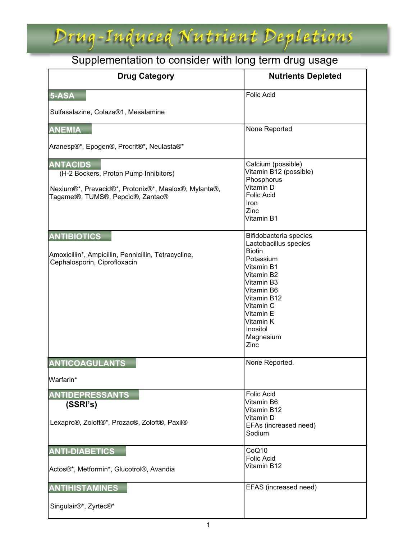### Drug-Induced Nutrient Depletions

### Supplementation to consider with long term drug usage

| <b>Drug Category</b>                                                                                                                                  | <b>Nutrients Depleted</b>                                                                                                                                                                                                    |
|-------------------------------------------------------------------------------------------------------------------------------------------------------|------------------------------------------------------------------------------------------------------------------------------------------------------------------------------------------------------------------------------|
| 5-ASA                                                                                                                                                 | <b>Folic Acid</b>                                                                                                                                                                                                            |
| Sulfasalazine, Colaza®1, Mesalamine                                                                                                                   |                                                                                                                                                                                                                              |
| <b>ANEMIA</b>                                                                                                                                         | None Reported                                                                                                                                                                                                                |
| Aranesp®*, Epogen®, Procrit®*, Neulasta®*                                                                                                             |                                                                                                                                                                                                                              |
| <b>ANTACIDS</b><br>(H-2 Bockers, Proton Pump Inhibitors)<br>Nexium®*, Prevacid®*, Protonix®*, Maalox®, Mylanta®,<br>Tagamet®, TUMS®, Pepcid®, Zantac® | Calcium (possible)<br>Vitamin B12 (possible)<br>Phosphorus<br>Vitamin D<br><b>Folic Acid</b><br><b>Iron</b><br>Zinc<br>Vitamin B1                                                                                            |
| <b>ANTIBIOTICS</b><br>Amoxicillin*, Ampicillin, Pennicillin, Tetracycline,<br>Cephalosporin, Ciprofloxacin                                            | Bifidobacteria species<br>Lactobacillus species<br><b>Biotin</b><br>Potassium<br>Vitamin B1<br>Vitamin B2<br>Vitamin B3<br>Vitamin B6<br>Vitamin B12<br>Vitamin C<br>Vitamin E<br>Vitamin K<br>Inositol<br>Magnesium<br>Zinc |
| <b>ANTICOAGULANTS</b>                                                                                                                                 | None Reported.                                                                                                                                                                                                               |
| Warfarin*                                                                                                                                             |                                                                                                                                                                                                                              |
| <b>ANTIDEPRESSANTS</b><br>(SSRI's)<br>Lexapro®, Zoloft®*, Prozac®, Zoloft®, Paxil®                                                                    | <b>Folic Acid</b><br>Vitamin B6<br>Vitamin B12<br>Vitamin D<br>EFAs (increased need)<br>Sodium                                                                                                                               |
| <b>ANTI-DIABETICS</b><br>Actos®*, Metformin*, Glucotrol®, Avandia                                                                                     | CoQ10<br><b>Folic Acid</b><br>Vitamin B12                                                                                                                                                                                    |
| <b>ANTIHISTAMINES</b>                                                                                                                                 | EFAS (increased need)                                                                                                                                                                                                        |
| Singulair®*, Zyrtec®*                                                                                                                                 |                                                                                                                                                                                                                              |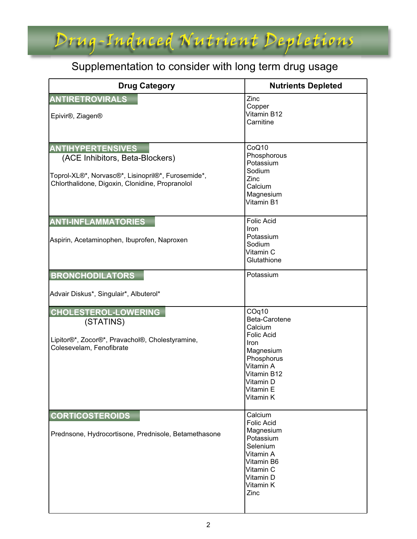### Supplementation to consider with long term drug usage

Drug-Induced Nutrient Depletions

| <b>Drug Category</b>                                                                                                                                                 | <b>Nutrients Depleted</b>                                                                                                                                           |
|----------------------------------------------------------------------------------------------------------------------------------------------------------------------|---------------------------------------------------------------------------------------------------------------------------------------------------------------------|
| <b>ANTIRETROVIRALS</b><br>Epivir <sup>®</sup> , Ziagen <sup>®</sup>                                                                                                  | Zinc<br>Copper<br>Vitamin B12<br>Carnitine                                                                                                                          |
| <b>ANTIHYPERTENSIVES</b><br>(ACE Inhibitors, Beta-Blockers)<br>Toprol-XL®*, Norvasc®*, Lisinopril®*, Furosemide*,<br>Chlorthalidone, Digoxin, Clonidine, Propranolol | CoQ10<br>Phosphorous<br>Potassium<br>Sodium<br>Zinc<br>Calcium<br>Magnesium<br>Vitamin B1                                                                           |
| <b>ANTI-INFLAMMATORIES</b><br>Aspirin, Acetaminophen, Ibuprofen, Naproxen                                                                                            | <b>Folic Acid</b><br>Iron<br>Potassium<br>Sodium<br>Vitamin C<br>Glutathione                                                                                        |
| <b>BRONCHODILATORS</b><br>Advair Diskus*, Singulair*, Albuterol*                                                                                                     | Potassium                                                                                                                                                           |
| <b>CHOLESTEROL-LOWERING</b><br>(STATINS)<br>Lipitor®*, Zocor®*, Pravachol®, Cholestyramine,<br>Colesevelam, Fenofibrate                                              | COq10<br>Beta-Carotene<br>Calcium<br><b>Folic Acid</b><br><b>Iron</b><br>Magnesium<br>Phosphorus<br>Vitamin A<br>Vitamin B12<br>Vitamin D<br>Vitamin E<br>Vitamin K |
| <b>CORTICOSTEROIDS</b><br>Prednsone, Hydrocortisone, Prednisole, Betamethasone                                                                                       | Calcium<br><b>Folic Acid</b><br>Magnesium<br>Potassium<br>Selenium<br>Vitamin A<br>Vitamin B6<br>Vitamin C<br>Vitamin D<br>Vitamin K<br>Zinc                        |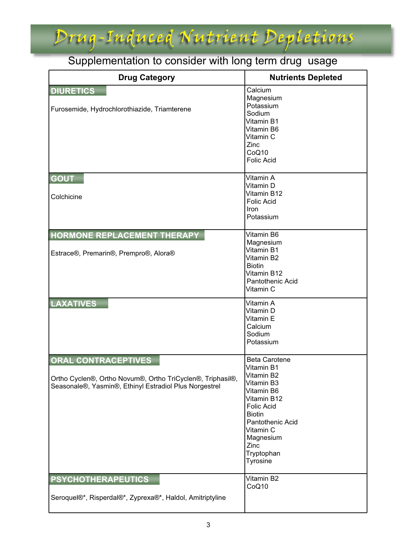## Drug-Induced Nutrient Depletions

#### Supplementation to consider with long term drug usage

| <b>Drug Category</b>                                                                                                                               | <b>Nutrients Depleted</b>                                                                                                                                                                                                |
|----------------------------------------------------------------------------------------------------------------------------------------------------|--------------------------------------------------------------------------------------------------------------------------------------------------------------------------------------------------------------------------|
| <b>DIURETICS</b><br>Furosemide, Hydrochlorothiazide, Triamterene                                                                                   | Calcium<br>Magnesium<br>Potassium<br>Sodium<br>Vitamin B1<br>Vitamin B6<br>Vitamin C<br>Zinc<br>CoQ10<br><b>Folic Acid</b>                                                                                               |
| <b>GOUT</b><br>Colchicine                                                                                                                          | Vitamin A<br>Vitamin D<br>Vitamin B12<br><b>Folic Acid</b><br>Iron<br>Potassium                                                                                                                                          |
| HORMONE REPLACEMENT THERAPY<br>Estrace®, Premarin®, Prempro®, Alora®                                                                               | Vitamin B6<br>Magnesium<br>Vitamin B1<br>Vitamin B2<br><b>Biotin</b><br>Vitamin B12<br>Pantothenic Acid<br>Vitamin C                                                                                                     |
| <b>LAXATIVES</b>                                                                                                                                   | Vitamin A<br>Vitamin D<br>Vitamin E<br>Calcium<br>Sodium<br>Potassium                                                                                                                                                    |
| <b>ORAL CONTRACEPTIVES</b><br>Ortho Cyclen®, Ortho Novum®, Ortho TriCyclen®, Triphasil®,<br>Seasonale®, Yasmin®, Ethinyl Estradiol Plus Norgestrel | <b>Beta Carotene</b><br>Vitamin B1<br>Vitamin B2<br>Vitamin B3<br>Vitamin B6<br>Vitamin B12<br><b>Folic Acid</b><br><b>Biotin</b><br>Pantothenic Acid<br>Vitamin C<br>Magnesium<br>Zinc<br>Tryptophan<br><b>Tyrosine</b> |
| <b>PSYCHOTHERAPEUTICS</b><br>Seroquel®*, Risperdal®*, Zyprexa®*, Haldol, Amitriptyline                                                             | Vitamin B2<br>CoQ10                                                                                                                                                                                                      |